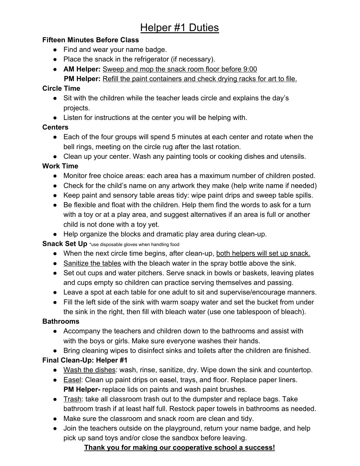# **Helper #1 Duties**

### **Fifteen Minutes Before Class**

- Find and wear your name badge.
- Place the snack in the refrigerator (if necessary).
- **AM Helper:** Sweep and mop the snack room floor before 9:00 **PM Helper:** Refill the paint containers and check drying racks for art to file.

### **Circle Time**

- Sit with the children while the teacher leads circle and explains the day's projects.
- Listen for instructions at the center you will be helping with.

#### **Centers**

- Each of the four groups will spend 5 minutes at each center and rotate when the bell rings, meeting on the circle rug after the last rotation.
- Clean up your center. Wash any painting tools or cooking dishes and utensils.

### **Work Time**

- Monitor free choice areas: each area has a maximum number of children posted.
- Check for the child's name on any artwork they make (help write name if needed)
- Keep paint and sensory table areas tidy: wipe paint drips and sweep table spills.
- Be flexible and float with the children. Help them find the words to ask for a turn with a toy or at a play area, and suggest alternatives if an area is full or another child is not done with a toy yet.
- Help organize the blocks and dramatic play area during clean-up.

### **Snack Set Up** \*use disposable gloves when handling food

- When the next circle time begins, after clean-up, both helpers will set up snack.
- Sanitize the tables with the bleach water in the spray bottle above the sink.
- Set out cups and water pitchers. Serve snack in bowls or baskets, leaving plates and cups empty so children can practice serving themselves and passing.
- Leave a spot at each table for one adult to sit and supervise/encourage manners.
- Fill the left side of the sink with warm soapy water and set the bucket from under the sink in the right, then fill with bleach water (use one tablespoon of bleach).

### **Bathrooms**

- Accompany the teachers and children down to the bathrooms and assist with with the boys or girls. Make sure everyone washes their hands.
- Bring cleaning wipes to disinfect sinks and toilets after the children are finished.

## **Final Clean-Up: Helper #1**

- Wash the dishes: wash, rinse, sanitize, dry. Wipe down the sink and countertop.
- Easel: Clean up paint drips on easel, trays, and floor. Replace paper liners. **PM Helper-** replace lids on paints and wash paint brushes.
- Trash: take all classroom trash out to the dumpster and replace bags. Take bathroom trash if at least half full. Restock paper towels in bathrooms as needed.
- Make sure the classroom and snack room are clean and tidy.
- Join the teachers outside on the playground, return your name badge, and help pick up sand toys and/or close the sandbox before leaving.

## **Thank you for making our cooperative school a success!**